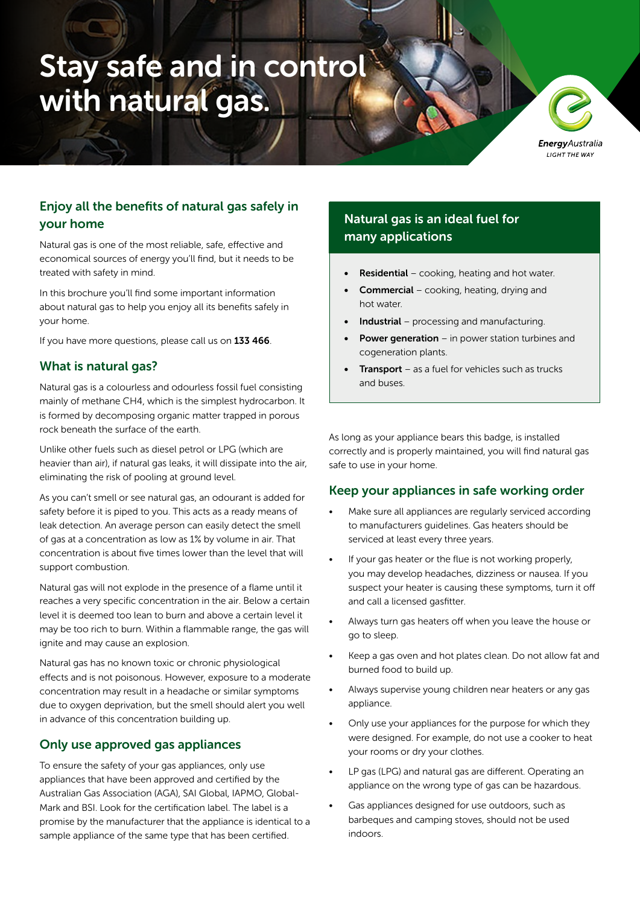# Stay safe and in control with natural gas.

**Energy** Australia LIGHT THE WAY

# Enjoy all the benefits of natural gas safely in your home

Natural gas is one of the most reliable, safe, effective and economical sources of energy you'll find, but it needs to be treated with safety in mind.

In this brochure you'll find some important information about natural gas to help you enjoy all its benefits safely in your home.

If you have more questions, please call us on 133 466.

#### What is natural gas?

Natural gas is a colourless and odourless fossil fuel consisting mainly of methane CH4, which is the simplest hydrocarbon. It is formed by decomposing organic matter trapped in porous rock beneath the surface of the earth.

Unlike other fuels such as diesel petrol or LPG (which are heavier than air), if natural gas leaks, it will dissipate into the air, eliminating the risk of pooling at ground level.

As you can't smell or see natural gas, an odourant is added for safety before it is piped to you. This acts as a ready means of leak detection. An average person can easily detect the smell of gas at a concentration as low as 1% by volume in air. That concentration is about five times lower than the level that will support combustion.

Natural gas will not explode in the presence of a flame until it reaches a very specific concentration in the air. Below a certain level it is deemed too lean to burn and above a certain level it may be too rich to burn. Within a flammable range, the gas will ignite and may cause an explosion.

Natural gas has no known toxic or chronic physiological effects and is not poisonous. However, exposure to a moderate concentration may result in a headache or similar symptoms due to oxygen deprivation, but the smell should alert you well in advance of this concentration building up.

#### Only use approved gas appliances

To ensure the safety of your gas appliances, only use appliances that have been approved and certified by the Australian Gas Association (AGA), SAI Global, IAPMO, Global-Mark and BSI. Look for the certification label. The label is a promise by the manufacturer that the appliance is identical to a sample appliance of the same type that has been certified.

# Natural gas is an ideal fuel for many applications

- **Residential** cooking, heating and hot water.
- Commercial cooking, heating, drying and hot water.
- Industrial processing and manufacturing.
- **Power generation** in power station turbines and cogeneration plants.
- **Transport** as a fuel for vehicles such as trucks and buses.

As long as your appliance bears this badge, is installed correctly and is properly maintained, you will find natural gas safe to use in your home.

#### Keep your appliances in safe working order

- Make sure all appliances are regularly serviced according to manufacturers guidelines. Gas heaters should be serviced at least every three years.
- If your gas heater or the flue is not working properly, you may develop headaches, dizziness or nausea. If you suspect your heater is causing these symptoms, turn it off and call a licensed gasfitter.
- Always turn gas heaters off when you leave the house or go to sleep.
- Keep a gas oven and hot plates clean. Do not allow fat and burned food to build up.
- Always supervise young children near heaters or any gas appliance.
- Only use your appliances for the purpose for which they were designed. For example, do not use a cooker to heat your rooms or dry your clothes.
- LP gas (LPG) and natural gas are different. Operating an appliance on the wrong type of gas can be hazardous.
- Gas appliances designed for use outdoors, such as barbeques and camping stoves, should not be used indoors.